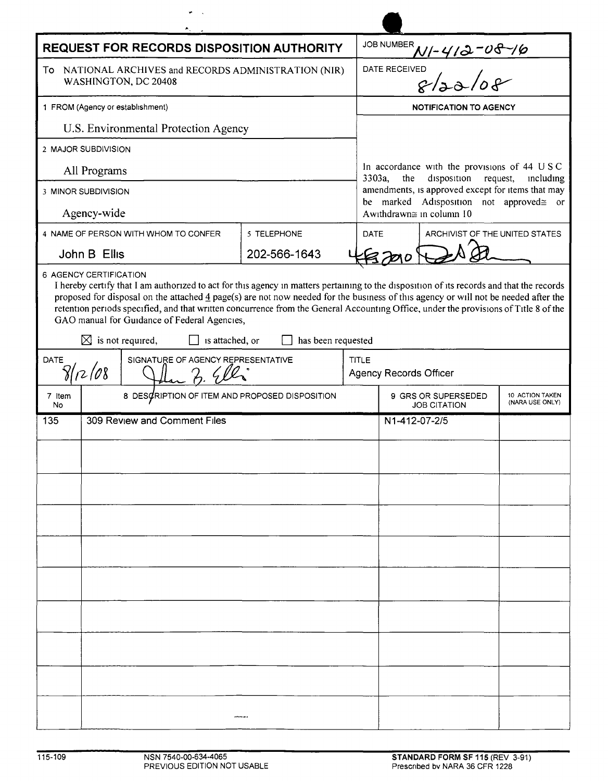| REQUEST FOR RECORDS DISPOSITION AUTHORITY           |                                                                               |                                                                                                                                                                                                                                                                                                                                                                                                                                                                                                                                        |                    |       |                                                                                                                                                                                                                                     |                                    |  |
|-----------------------------------------------------|-------------------------------------------------------------------------------|----------------------------------------------------------------------------------------------------------------------------------------------------------------------------------------------------------------------------------------------------------------------------------------------------------------------------------------------------------------------------------------------------------------------------------------------------------------------------------------------------------------------------------------|--------------------|-------|-------------------------------------------------------------------------------------------------------------------------------------------------------------------------------------------------------------------------------------|------------------------------------|--|
|                                                     | To NATIONAL ARCHIVES and RECORDS ADMINISTRATION (NIR)<br>WASHINGTON, DC 20408 |                                                                                                                                                                                                                                                                                                                                                                                                                                                                                                                                        |                    |       | JOB NUMBER N/-412-08-16                                                                                                                                                                                                             |                                    |  |
| 1 FROM (Agency or establishment)                    |                                                                               |                                                                                                                                                                                                                                                                                                                                                                                                                                                                                                                                        |                    |       | <b>NOTIFICATION TO AGENCY</b>                                                                                                                                                                                                       |                                    |  |
| U.S. Environmental Protection Agency                |                                                                               |                                                                                                                                                                                                                                                                                                                                                                                                                                                                                                                                        |                    |       |                                                                                                                                                                                                                                     |                                    |  |
| 2 MAJOR SUBDIVISION                                 |                                                                               |                                                                                                                                                                                                                                                                                                                                                                                                                                                                                                                                        |                    |       |                                                                                                                                                                                                                                     |                                    |  |
| All Programs                                        |                                                                               |                                                                                                                                                                                                                                                                                                                                                                                                                                                                                                                                        |                    |       | In accordance with the provisions of 44 USC<br>$3303a$ ,<br>the<br>disposition<br>request,<br>including<br>amendments, is approved except for items that may<br>be marked Adisposition not approved≅ or<br>Awithdrawn≅ in column 10 |                                    |  |
| 3 MINOR SUBDIVISION                                 |                                                                               |                                                                                                                                                                                                                                                                                                                                                                                                                                                                                                                                        |                    |       |                                                                                                                                                                                                                                     |                                    |  |
| Agency-wide                                         |                                                                               |                                                                                                                                                                                                                                                                                                                                                                                                                                                                                                                                        |                    |       |                                                                                                                                                                                                                                     |                                    |  |
| 4 NAME OF PERSON WITH WHOM TO CONFER<br>5 TELEPHONE |                                                                               |                                                                                                                                                                                                                                                                                                                                                                                                                                                                                                                                        |                    |       | DATE<br>ARCHIVIST OF THE UNITED STATES                                                                                                                                                                                              |                                    |  |
| John B Ellis<br>202-566-1643                        |                                                                               |                                                                                                                                                                                                                                                                                                                                                                                                                                                                                                                                        |                    |       |                                                                                                                                                                                                                                     |                                    |  |
|                                                     |                                                                               | I hereby certify that I am authorized to act for this agency in matters pertaining to the disposition of its records and that the records<br>proposed for disposal on the attached $\frac{4}{3}$ page(s) are not now needed for the business of this agency or will not be needed after the<br>retention periods specified, and that written concurrence from the General Accounting Office, under the provisions of Title 8 of the<br>GAO manual for Guidance of Federal Agencies,<br>$\boxtimes$ is not required,<br>is attached, or | has been requested |       |                                                                                                                                                                                                                                     |                                    |  |
| <b>DATE</b>                                         |                                                                               |                                                                                                                                                                                                                                                                                                                                                                                                                                                                                                                                        |                    |       |                                                                                                                                                                                                                                     |                                    |  |
| SIGNATURE OF AGENCY REPRESENTATIVE<br>8/12/08       |                                                                               |                                                                                                                                                                                                                                                                                                                                                                                                                                                                                                                                        |                    | TITLE | <b>Agency Records Officer</b>                                                                                                                                                                                                       |                                    |  |
| 7 Item<br>No                                        |                                                                               | 8 DESCRIPTION OF ITEM AND PROPOSED DISPOSITION                                                                                                                                                                                                                                                                                                                                                                                                                                                                                         |                    |       | 9 GRS OR SUPERSEDED<br><b>JOB CITATION</b>                                                                                                                                                                                          | 10 ACTION TAKEN<br>(NARA USE ONLY) |  |
| 135                                                 | 309 Review and Comment Files                                                  |                                                                                                                                                                                                                                                                                                                                                                                                                                                                                                                                        |                    |       | N1-412-07-2/5                                                                                                                                                                                                                       |                                    |  |
|                                                     |                                                                               |                                                                                                                                                                                                                                                                                                                                                                                                                                                                                                                                        |                    |       |                                                                                                                                                                                                                                     |                                    |  |
|                                                     |                                                                               |                                                                                                                                                                                                                                                                                                                                                                                                                                                                                                                                        |                    |       |                                                                                                                                                                                                                                     |                                    |  |
|                                                     |                                                                               |                                                                                                                                                                                                                                                                                                                                                                                                                                                                                                                                        |                    |       |                                                                                                                                                                                                                                     |                                    |  |
|                                                     |                                                                               |                                                                                                                                                                                                                                                                                                                                                                                                                                                                                                                                        |                    |       |                                                                                                                                                                                                                                     |                                    |  |
|                                                     |                                                                               |                                                                                                                                                                                                                                                                                                                                                                                                                                                                                                                                        |                    |       |                                                                                                                                                                                                                                     |                                    |  |
|                                                     |                                                                               |                                                                                                                                                                                                                                                                                                                                                                                                                                                                                                                                        |                    |       |                                                                                                                                                                                                                                     |                                    |  |
|                                                     |                                                                               |                                                                                                                                                                                                                                                                                                                                                                                                                                                                                                                                        |                    |       |                                                                                                                                                                                                                                     |                                    |  |
|                                                     |                                                                               |                                                                                                                                                                                                                                                                                                                                                                                                                                                                                                                                        |                    |       |                                                                                                                                                                                                                                     |                                    |  |
|                                                     |                                                                               |                                                                                                                                                                                                                                                                                                                                                                                                                                                                                                                                        |                    |       |                                                                                                                                                                                                                                     |                                    |  |
|                                                     |                                                                               |                                                                                                                                                                                                                                                                                                                                                                                                                                                                                                                                        |                    |       |                                                                                                                                                                                                                                     |                                    |  |
|                                                     |                                                                               |                                                                                                                                                                                                                                                                                                                                                                                                                                                                                                                                        |                    |       |                                                                                                                                                                                                                                     |                                    |  |
|                                                     |                                                                               |                                                                                                                                                                                                                                                                                                                                                                                                                                                                                                                                        |                    |       |                                                                                                                                                                                                                                     |                                    |  |
|                                                     |                                                                               |                                                                                                                                                                                                                                                                                                                                                                                                                                                                                                                                        |                    |       |                                                                                                                                                                                                                                     |                                    |  |
|                                                     |                                                                               |                                                                                                                                                                                                                                                                                                                                                                                                                                                                                                                                        |                    |       |                                                                                                                                                                                                                                     |                                    |  |

 $\blacktriangle$ 

 $\frac{1}{2}$  ,  $\frac{1}{2}$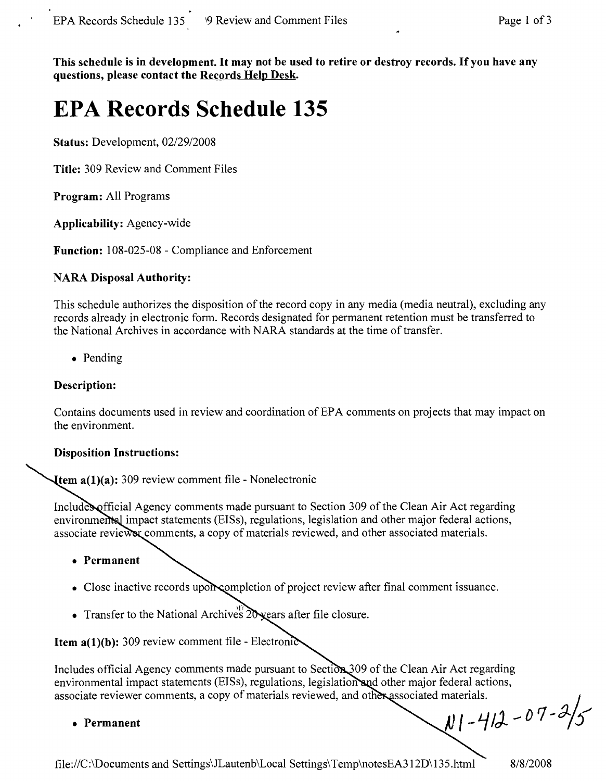This schedule is in development. It may not be used to retire or destroy records. If you have any **questions, please contact the Records Help Desk.**

# **EPA Records Schedule 135**

**Status:** Development, *02/29/2008*

**Title:** 309 Review and Comment Files

**Program:** All Programs

**Applicability:** Agency-wide

**Function:** 108-025-08 - Compliance and Enforcement

# **NARA Disposal Authority:**

This schedule authorizes the disposition of the record copy in any media (media neutral), excluding any records already in electronic form. Records designated for permanent retention must be transferred to the National Archives in accordance with NARA standards at the time of transfer.

• Pending

# **Description:**

Contains documents used in review and coordination of EPA comments on projects that may impact on the environment.

#### **Disposition Instructions:**

**tem a(1)(a):** 309 review comment file - Nonelectronic

fficial Agency comments made pursuant to Section 309 of the Clean Air Act regarding environmental impact statements (EISs), regulations, legislation and other major federal actions, associate reviewer comments, a copy of materials reviewed, and other associated materials.

- **• Permanent**
- Close inactive records upon completion of project review after final comment issuance.
- Transfer to the National Archives  $20$  years after file closure.

**Item**  $a(1)(b)$ **:** 309 review comment file - Electronic

Includes official Agency comments made pursuant to Section 309 of the Clean Air Act regarding environmental impact statements (EISs), regulations, legislation and other major federal actions, associate reviewer comments, a copy of materials reviewed, and other associated materials.

**• Permanent**

 $N1 - 412 - 07 - 2/5$ 

file://C:\Documents and Settings\JLautenb\Local Settings\Temp\notesEA312D\135.html **8/8/2008**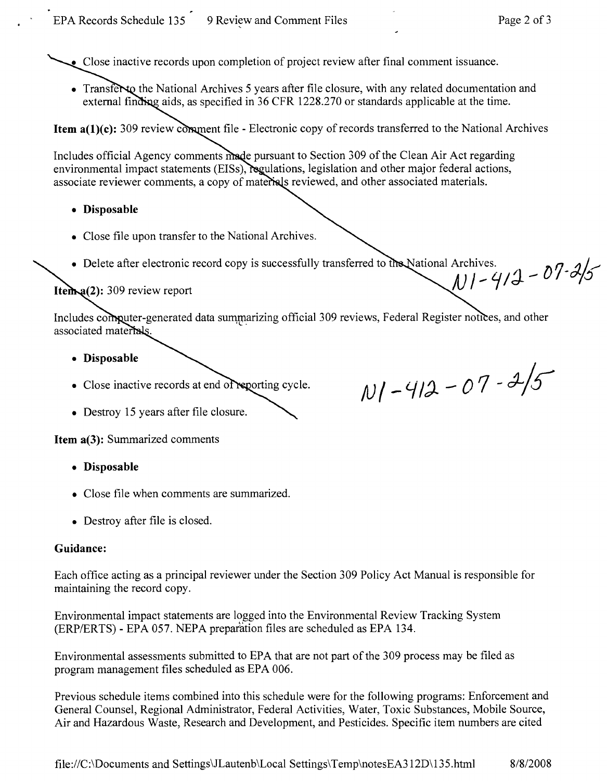• Close inactive records upon completion of project review after final comment issuance.

• Transferm the National Archives 5 years after file closure, with any related documentation and external finding aids, as specified in 36 CFR 1228.270 or standards applicable at the time.

**Item**  $a(1)(c)$ **:** 309 review comment file - Electronic copy of records transferred to the National Archives

Includes official Agency comments made pursuant to Section 309 of the Clean Air Act regarding environmental impact statements (EISs), regulations, legislation and other major federal actions, associate reviewer comments, a copy of materials reviewed, and other associated materials.

- **• Disposable**
- Close file upon transfer to the National Archives.
- Delete after electronic record copy is successfully transferred to the National Archives.

# Item  $a(2)$ : 309 review report

Includes computer-generated data summarizing official 309 reviews, Federal Register notices, and other associated materials.

- **• Disposable**
- Close inactive records at end of reporting cycle.
- Destroy 15 years after file closure.

**Item a(3):** Summarized comments

- **• Disposable**
- Close file when comments are summarized.
- Destroy after file is closed.

# **Guidance:**

Each office acting as a principal reviewer under the Section 309 Policy Act Manual is responsible for maintaining the record copy.

Environmental impact statements are logged into the Environmental Review Tracking System (ERP/ERTS) - EPA 057. NEPA preparation files are scheduled as EPA 134.

Environmental assessments submitted to EPA that are not part of the 309 process may be filed as program management files scheduled as EPA 006.

Previous schedule items combined into this schedule were for the following programs: Enforcement and General Counsel, Regional Administrator, Federal Activities, Water, Toxic Substances, Mobile Source, Air and Hazardous Waste, Research and Development, and Pesticides. Specific item numbers are cited

Archives.<br>N | - 4/2 - 07-2/5

 $N1 - 412 - 07 - 2/5$